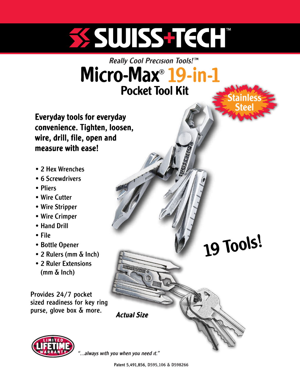# SSSUUSSSETECHT

# Micro-Max<sup>®</sup> 19-in-1 Pocket Tool Kit

Everyday tools for everyday convenience. Tighten, loosen, wire, drill, file, open and measure with ease!

- •2 Hex Wrenches
- 6 Screwdrivers
- Pliers
- •Wire Cutter
- •Wire Stripper
- •Wire Crimper
- •Hand Drill
- •File
- •Bottle Opener
- •2 Rulers (mm & Inch)
- •2 Ruler Extensions (mm & Inch)

Provides 24/7 pocket sized readiness for key ring purse, glove box & more.



"...always with you when you need it."

Actual Size

WISSENGON

19 Tools!

**Stainless** 

Steel